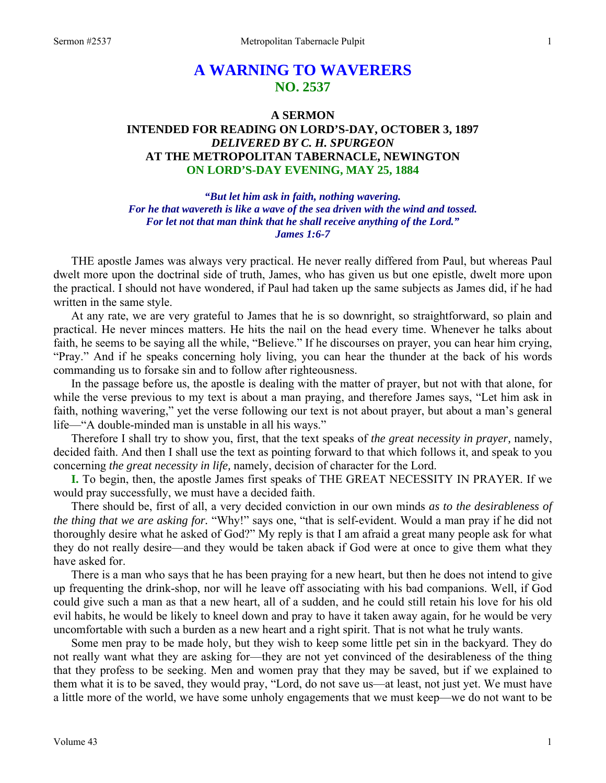# **A WARNING TO WAVERERS NO. 2537**

### **A SERMON INTENDED FOR READING ON LORD'S-DAY, OCTOBER 3, 1897**  *DELIVERED BY C. H. SPURGEON*  **AT THE METROPOLITAN TABERNACLE, NEWINGTON ON LORD'S-DAY EVENING, MAY 25, 1884**

*"But let him ask in faith, nothing wavering. For he that wavereth is like a wave of the sea driven with the wind and tossed. For let not that man think that he shall receive anything of the Lord." James 1:6-7* 

THE apostle James was always very practical. He never really differed from Paul, but whereas Paul dwelt more upon the doctrinal side of truth, James, who has given us but one epistle, dwelt more upon the practical. I should not have wondered, if Paul had taken up the same subjects as James did, if he had written in the same style.

At any rate, we are very grateful to James that he is so downright, so straightforward, so plain and practical. He never minces matters. He hits the nail on the head every time. Whenever he talks about faith, he seems to be saying all the while, "Believe." If he discourses on prayer, you can hear him crying, "Pray." And if he speaks concerning holy living, you can hear the thunder at the back of his words commanding us to forsake sin and to follow after righteousness.

In the passage before us, the apostle is dealing with the matter of prayer, but not with that alone, for while the verse previous to my text is about a man praying, and therefore James says, "Let him ask in faith, nothing wavering," yet the verse following our text is not about prayer, but about a man's general life—"A double-minded man is unstable in all his ways."

Therefore I shall try to show you, first, that the text speaks of *the great necessity in prayer,* namely, decided faith. And then I shall use the text as pointing forward to that which follows it, and speak to you concerning *the great necessity in life,* namely, decision of character for the Lord.

**I.** To begin, then, the apostle James first speaks of THE GREAT NECESSITY IN PRAYER. If we would pray successfully, we must have a decided faith.

There should be, first of all, a very decided conviction in our own minds *as to the desirableness of the thing that we are asking for.* "Why!" says one, "that is self-evident. Would a man pray if he did not thoroughly desire what he asked of God?" My reply is that I am afraid a great many people ask for what they do not really desire—and they would be taken aback if God were at once to give them what they have asked for.

There is a man who says that he has been praying for a new heart, but then he does not intend to give up frequenting the drink-shop, nor will he leave off associating with his bad companions. Well, if God could give such a man as that a new heart, all of a sudden, and he could still retain his love for his old evil habits, he would be likely to kneel down and pray to have it taken away again, for he would be very uncomfortable with such a burden as a new heart and a right spirit. That is not what he truly wants.

Some men pray to be made holy, but they wish to keep some little pet sin in the backyard. They do not really want what they are asking for—they are not yet convinced of the desirableness of the thing that they profess to be seeking. Men and women pray that they may be saved, but if we explained to them what it is to be saved, they would pray, "Lord, do not save us—at least, not just yet. We must have a little more of the world, we have some unholy engagements that we must keep—we do not want to be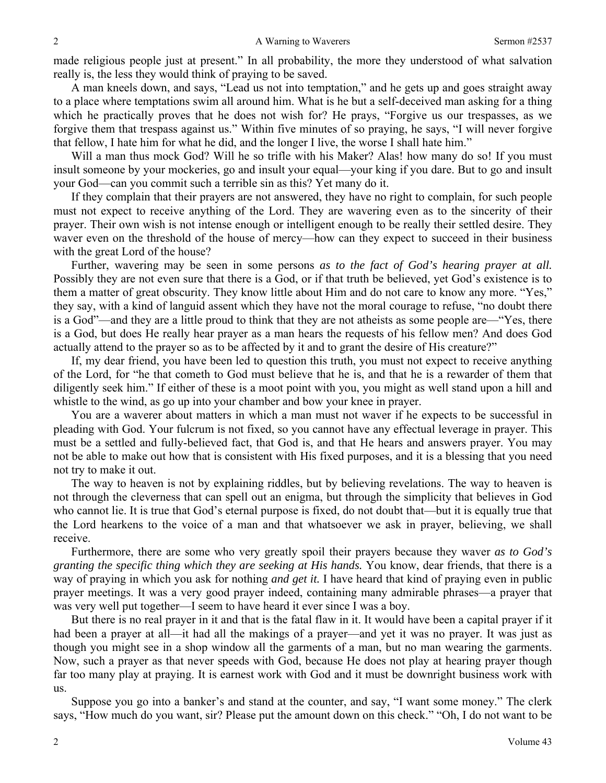made religious people just at present." In all probability, the more they understood of what salvation really is, the less they would think of praying to be saved.

A man kneels down, and says, "Lead us not into temptation," and he gets up and goes straight away to a place where temptations swim all around him. What is he but a self-deceived man asking for a thing which he practically proves that he does not wish for? He prays, "Forgive us our trespasses, as we forgive them that trespass against us." Within five minutes of so praying, he says, "I will never forgive that fellow, I hate him for what he did, and the longer I live, the worse I shall hate him."

Will a man thus mock God? Will he so trifle with his Maker? Alas! how many do so! If you must insult someone by your mockeries, go and insult your equal—your king if you dare. But to go and insult your God—can you commit such a terrible sin as this? Yet many do it.

If they complain that their prayers are not answered, they have no right to complain, for such people must not expect to receive anything of the Lord. They are wavering even as to the sincerity of their prayer. Their own wish is not intense enough or intelligent enough to be really their settled desire. They waver even on the threshold of the house of mercy—how can they expect to succeed in their business with the great Lord of the house?

Further, wavering may be seen in some persons *as to the fact of God's hearing prayer at all.*  Possibly they are not even sure that there is a God, or if that truth be believed, yet God's existence is to them a matter of great obscurity. They know little about Him and do not care to know any more. "Yes," they say, with a kind of languid assent which they have not the moral courage to refuse, "no doubt there is a God"—and they are a little proud to think that they are not atheists as some people are—"Yes, there is a God, but does He really hear prayer as a man hears the requests of his fellow men? And does God actually attend to the prayer so as to be affected by it and to grant the desire of His creature?"

If, my dear friend, you have been led to question this truth, you must not expect to receive anything of the Lord, for "he that cometh to God must believe that he is, and that he is a rewarder of them that diligently seek him." If either of these is a moot point with you, you might as well stand upon a hill and whistle to the wind, as go up into your chamber and bow your knee in prayer.

You are a waverer about matters in which a man must not waver if he expects to be successful in pleading with God. Your fulcrum is not fixed, so you cannot have any effectual leverage in prayer. This must be a settled and fully-believed fact, that God is, and that He hears and answers prayer. You may not be able to make out how that is consistent with His fixed purposes, and it is a blessing that you need not try to make it out.

The way to heaven is not by explaining riddles, but by believing revelations. The way to heaven is not through the cleverness that can spell out an enigma, but through the simplicity that believes in God who cannot lie. It is true that God's eternal purpose is fixed, do not doubt that—but it is equally true that the Lord hearkens to the voice of a man and that whatsoever we ask in prayer, believing, we shall receive.

Furthermore, there are some who very greatly spoil their prayers because they waver *as to God's granting the specific thing which they are seeking at His hands.* You know, dear friends, that there is a way of praying in which you ask for nothing *and get it.* I have heard that kind of praying even in public prayer meetings. It was a very good prayer indeed, containing many admirable phrases—a prayer that was very well put together—I seem to have heard it ever since I was a boy.

But there is no real prayer in it and that is the fatal flaw in it. It would have been a capital prayer if it had been a prayer at all—it had all the makings of a prayer—and yet it was no prayer. It was just as though you might see in a shop window all the garments of a man, but no man wearing the garments. Now, such a prayer as that never speeds with God, because He does not play at hearing prayer though far too many play at praying. It is earnest work with God and it must be downright business work with us.

Suppose you go into a banker's and stand at the counter, and say, "I want some money." The clerk says, "How much do you want, sir? Please put the amount down on this check." "Oh, I do not want to be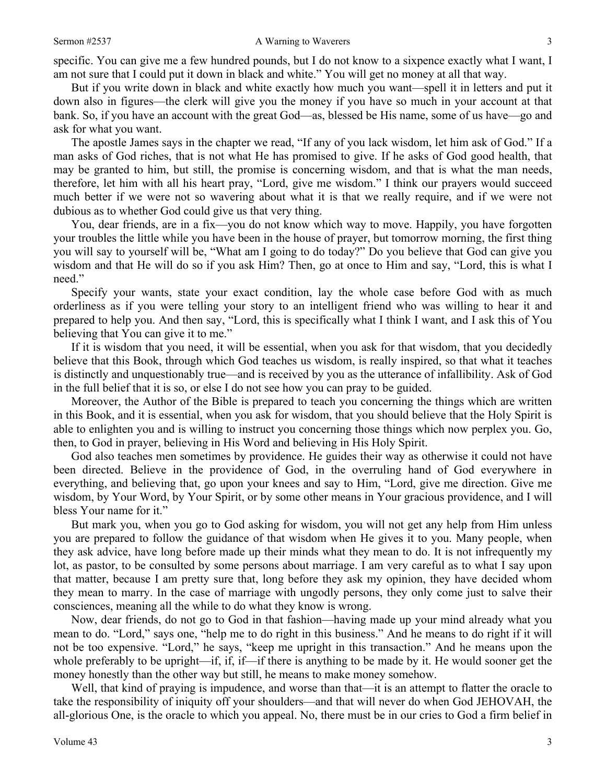specific. You can give me a few hundred pounds, but I do not know to a sixpence exactly what I want, I am not sure that I could put it down in black and white." You will get no money at all that way.

But if you write down in black and white exactly how much you want—spell it in letters and put it down also in figures—the clerk will give you the money if you have so much in your account at that bank. So, if you have an account with the great God—as, blessed be His name, some of us have—go and ask for what you want.

The apostle James says in the chapter we read, "If any of you lack wisdom, let him ask of God." If a man asks of God riches, that is not what He has promised to give. If he asks of God good health, that may be granted to him, but still, the promise is concerning wisdom, and that is what the man needs, therefore, let him with all his heart pray, "Lord, give me wisdom." I think our prayers would succeed much better if we were not so wavering about what it is that we really require, and if we were not dubious as to whether God could give us that very thing.

You, dear friends, are in a fix—you do not know which way to move. Happily, you have forgotten your troubles the little while you have been in the house of prayer, but tomorrow morning, the first thing you will say to yourself will be, "What am I going to do today?" Do you believe that God can give you wisdom and that He will do so if you ask Him? Then, go at once to Him and say, "Lord, this is what I need."

Specify your wants, state your exact condition, lay the whole case before God with as much orderliness as if you were telling your story to an intelligent friend who was willing to hear it and prepared to help you. And then say, "Lord, this is specifically what I think I want, and I ask this of You believing that You can give it to me."

If it is wisdom that you need, it will be essential, when you ask for that wisdom, that you decidedly believe that this Book, through which God teaches us wisdom, is really inspired, so that what it teaches is distinctly and unquestionably true—and is received by you as the utterance of infallibility. Ask of God in the full belief that it is so, or else I do not see how you can pray to be guided.

Moreover, the Author of the Bible is prepared to teach you concerning the things which are written in this Book, and it is essential, when you ask for wisdom, that you should believe that the Holy Spirit is able to enlighten you and is willing to instruct you concerning those things which now perplex you. Go, then, to God in prayer, believing in His Word and believing in His Holy Spirit.

God also teaches men sometimes by providence. He guides their way as otherwise it could not have been directed. Believe in the providence of God, in the overruling hand of God everywhere in everything, and believing that, go upon your knees and say to Him, "Lord, give me direction. Give me wisdom, by Your Word, by Your Spirit, or by some other means in Your gracious providence, and I will bless Your name for it."

But mark you, when you go to God asking for wisdom, you will not get any help from Him unless you are prepared to follow the guidance of that wisdom when He gives it to you. Many people, when they ask advice, have long before made up their minds what they mean to do. It is not infrequently my lot, as pastor, to be consulted by some persons about marriage. I am very careful as to what I say upon that matter, because I am pretty sure that, long before they ask my opinion, they have decided whom they mean to marry. In the case of marriage with ungodly persons, they only come just to salve their consciences, meaning all the while to do what they know is wrong.

Now, dear friends, do not go to God in that fashion—having made up your mind already what you mean to do. "Lord," says one, "help me to do right in this business." And he means to do right if it will not be too expensive. "Lord," he says, "keep me upright in this transaction." And he means upon the whole preferably to be upright—if, if, if—if there is anything to be made by it. He would sooner get the money honestly than the other way but still, he means to make money somehow.

Well, that kind of praying is impudence, and worse than that—it is an attempt to flatter the oracle to take the responsibility of iniquity off your shoulders—and that will never do when God JEHOVAH, the all-glorious One, is the oracle to which you appeal. No, there must be in our cries to God a firm belief in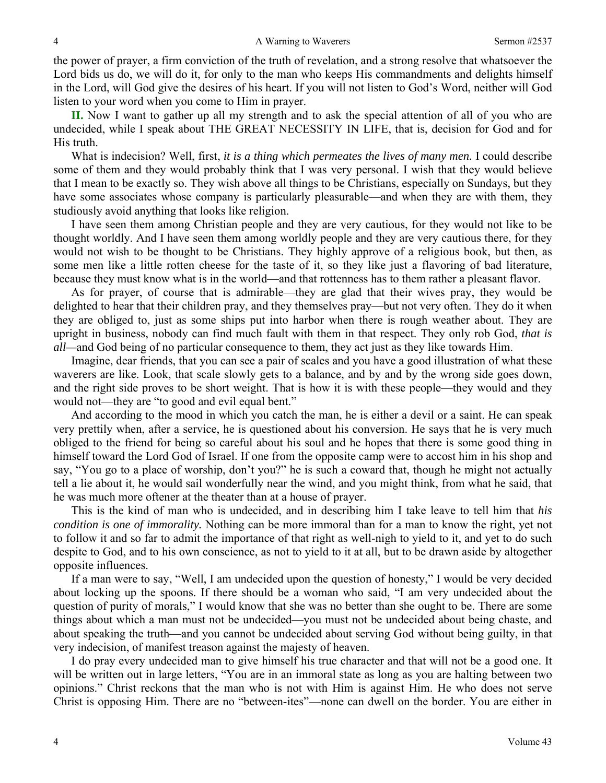the power of prayer, a firm conviction of the truth of revelation, and a strong resolve that whatsoever the Lord bids us do, we will do it, for only to the man who keeps His commandments and delights himself in the Lord, will God give the desires of his heart. If you will not listen to God's Word, neither will God listen to your word when you come to Him in prayer.

**II.** Now I want to gather up all my strength and to ask the special attention of all of you who are undecided, while I speak about THE GREAT NECESSITY IN LIFE, that is, decision for God and for His truth.

What is indecision? Well, first, *it is a thing which permeates the lives of many men.* I could describe some of them and they would probably think that I was very personal. I wish that they would believe that I mean to be exactly so. They wish above all things to be Christians, especially on Sundays, but they have some associates whose company is particularly pleasurable—and when they are with them, they studiously avoid anything that looks like religion.

I have seen them among Christian people and they are very cautious, for they would not like to be thought worldly. And I have seen them among worldly people and they are very cautious there, for they would not wish to be thought to be Christians. They highly approve of a religious book, but then, as some men like a little rotten cheese for the taste of it, so they like just a flavoring of bad literature, because they must know what is in the world—and that rottenness has to them rather a pleasant flavor.

As for prayer, of course that is admirable—they are glad that their wives pray, they would be delighted to hear that their children pray, and they themselves pray—but not very often. They do it when they are obliged to, just as some ships put into harbor when there is rough weather about. They are upright in business, nobody can find much fault with them in that respect. They only rob God, *that is all—*and God being of no particular consequence to them, they act just as they like towards Him.

Imagine, dear friends, that you can see a pair of scales and you have a good illustration of what these waverers are like. Look, that scale slowly gets to a balance, and by and by the wrong side goes down, and the right side proves to be short weight. That is how it is with these people—they would and they would not—they are "to good and evil equal bent."

And according to the mood in which you catch the man, he is either a devil or a saint. He can speak very prettily when, after a service, he is questioned about his conversion. He says that he is very much obliged to the friend for being so careful about his soul and he hopes that there is some good thing in himself toward the Lord God of Israel. If one from the opposite camp were to accost him in his shop and say, "You go to a place of worship, don't you?" he is such a coward that, though he might not actually tell a lie about it, he would sail wonderfully near the wind, and you might think, from what he said, that he was much more oftener at the theater than at a house of prayer.

This is the kind of man who is undecided, and in describing him I take leave to tell him that *his condition is one of immorality.* Nothing can be more immoral than for a man to know the right, yet not to follow it and so far to admit the importance of that right as well-nigh to yield to it, and yet to do such despite to God, and to his own conscience, as not to yield to it at all, but to be drawn aside by altogether opposite influences.

If a man were to say, "Well, I am undecided upon the question of honesty," I would be very decided about locking up the spoons. If there should be a woman who said, "I am very undecided about the question of purity of morals," I would know that she was no better than she ought to be. There are some things about which a man must not be undecided—you must not be undecided about being chaste, and about speaking the truth—and you cannot be undecided about serving God without being guilty, in that very indecision, of manifest treason against the majesty of heaven.

I do pray every undecided man to give himself his true character and that will not be a good one. It will be written out in large letters, "You are in an immoral state as long as you are halting between two opinions." Christ reckons that the man who is not with Him is against Him. He who does not serve Christ is opposing Him. There are no "between-ites"—none can dwell on the border. You are either in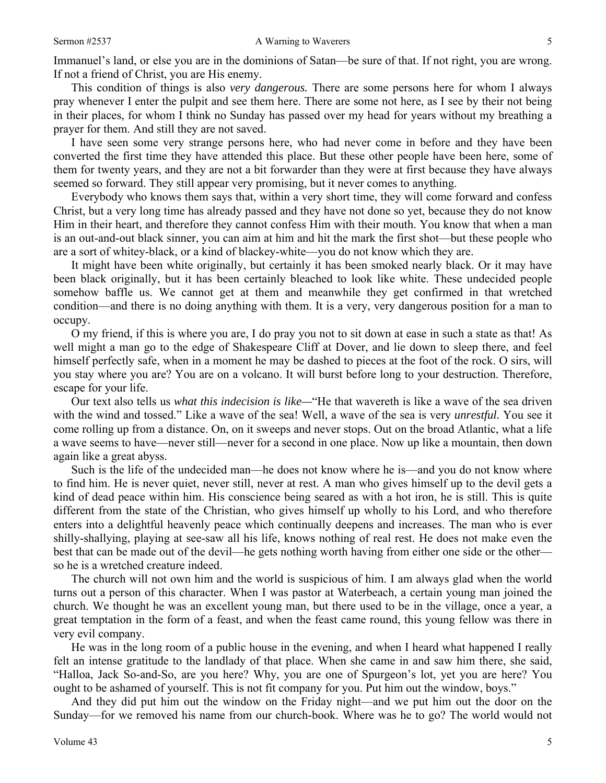Immanuel's land, or else you are in the dominions of Satan—be sure of that. If not right, you are wrong. If not a friend of Christ, you are His enemy.

This condition of things is also *very dangerous.* There are some persons here for whom I always pray whenever I enter the pulpit and see them here. There are some not here, as I see by their not being in their places, for whom I think no Sunday has passed over my head for years without my breathing a prayer for them. And still they are not saved.

I have seen some very strange persons here, who had never come in before and they have been converted the first time they have attended this place. But these other people have been here, some of them for twenty years, and they are not a bit forwarder than they were at first because they have always seemed so forward. They still appear very promising, but it never comes to anything.

Everybody who knows them says that, within a very short time, they will come forward and confess Christ, but a very long time has already passed and they have not done so yet, because they do not know Him in their heart, and therefore they cannot confess Him with their mouth. You know that when a man is an out-and-out black sinner, you can aim at him and hit the mark the first shot—but these people who are a sort of whitey-black, or a kind of blackey-white—you do not know which they are.

It might have been white originally, but certainly it has been smoked nearly black. Or it may have been black originally, but it has been certainly bleached to look like white. These undecided people somehow baffle us. We cannot get at them and meanwhile they get confirmed in that wretched condition—and there is no doing anything with them. It is a very, very dangerous position for a man to occupy.

O my friend, if this is where you are, I do pray you not to sit down at ease in such a state as that! As well might a man go to the edge of Shakespeare Cliff at Dover, and lie down to sleep there, and feel himself perfectly safe, when in a moment he may be dashed to pieces at the foot of the rock. O sirs, will you stay where you are? You are on a volcano. It will burst before long to your destruction. Therefore, escape for your life.

Our text also tells us *what this indecision is like—*"He that wavereth is like a wave of the sea driven with the wind and tossed." Like a wave of the sea! Well, a wave of the sea is very *unrestful.* You see it come rolling up from a distance. On, on it sweeps and never stops. Out on the broad Atlantic, what a life a wave seems to have—never still—never for a second in one place. Now up like a mountain, then down again like a great abyss.

Such is the life of the undecided man—he does not know where he is—and you do not know where to find him. He is never quiet, never still, never at rest. A man who gives himself up to the devil gets a kind of dead peace within him. His conscience being seared as with a hot iron, he is still. This is quite different from the state of the Christian, who gives himself up wholly to his Lord, and who therefore enters into a delightful heavenly peace which continually deepens and increases. The man who is ever shilly-shallying, playing at see-saw all his life, knows nothing of real rest. He does not make even the best that can be made out of the devil—he gets nothing worth having from either one side or the other so he is a wretched creature indeed.

The church will not own him and the world is suspicious of him. I am always glad when the world turns out a person of this character. When I was pastor at Waterbeach, a certain young man joined the church. We thought he was an excellent young man, but there used to be in the village, once a year, a great temptation in the form of a feast, and when the feast came round, this young fellow was there in very evil company.

He was in the long room of a public house in the evening, and when I heard what happened I really felt an intense gratitude to the landlady of that place. When she came in and saw him there, she said, "Halloa, Jack So-and-So, are you here? Why, you are one of Spurgeon's lot, yet you are here? You ought to be ashamed of yourself. This is not fit company for you. Put him out the window, boys."

And they did put him out the window on the Friday night—and we put him out the door on the Sunday—for we removed his name from our church-book. Where was he to go? The world would not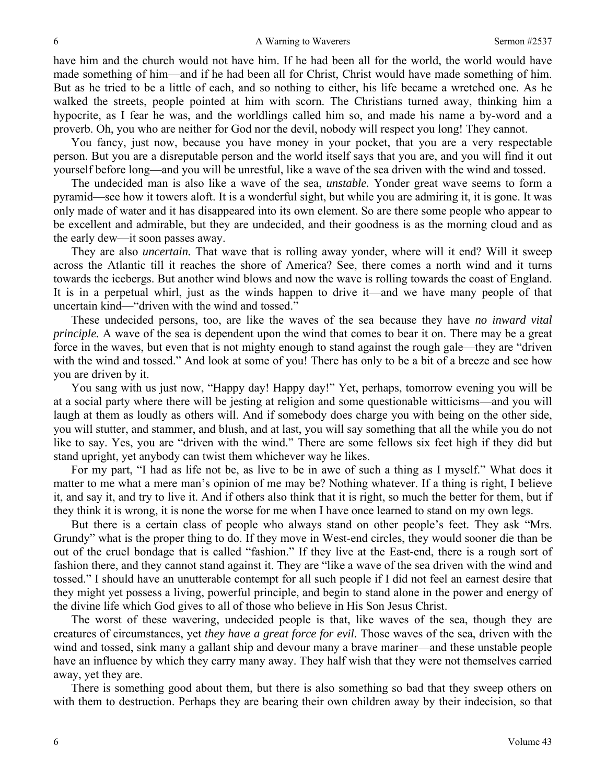have him and the church would not have him. If he had been all for the world, the world would have made something of him—and if he had been all for Christ, Christ would have made something of him. But as he tried to be a little of each, and so nothing to either, his life became a wretched one. As he walked the streets, people pointed at him with scorn. The Christians turned away, thinking him a hypocrite, as I fear he was, and the worldlings called him so, and made his name a by-word and a proverb. Oh, you who are neither for God nor the devil, nobody will respect you long! They cannot.

You fancy, just now, because you have money in your pocket, that you are a very respectable person. But you are a disreputable person and the world itself says that you are, and you will find it out yourself before long—and you will be unrestful, like a wave of the sea driven with the wind and tossed.

The undecided man is also like a wave of the sea, *unstable.* Yonder great wave seems to form a pyramid—see how it towers aloft. It is a wonderful sight, but while you are admiring it, it is gone. It was only made of water and it has disappeared into its own element. So are there some people who appear to be excellent and admirable, but they are undecided, and their goodness is as the morning cloud and as the early dew—it soon passes away.

They are also *uncertain.* That wave that is rolling away yonder, where will it end? Will it sweep across the Atlantic till it reaches the shore of America? See, there comes a north wind and it turns towards the icebergs. But another wind blows and now the wave is rolling towards the coast of England. It is in a perpetual whirl, just as the winds happen to drive it—and we have many people of that uncertain kind—"driven with the wind and tossed."

These undecided persons, too, are like the waves of the sea because they have *no inward vital principle.* A wave of the sea is dependent upon the wind that comes to bear it on. There may be a great force in the waves, but even that is not mighty enough to stand against the rough gale—they are "driven with the wind and tossed." And look at some of you! There has only to be a bit of a breeze and see how you are driven by it.

You sang with us just now, "Happy day! Happy day!" Yet, perhaps, tomorrow evening you will be at a social party where there will be jesting at religion and some questionable witticisms—and you will laugh at them as loudly as others will. And if somebody does charge you with being on the other side, you will stutter, and stammer, and blush, and at last, you will say something that all the while you do not like to say. Yes, you are "driven with the wind." There are some fellows six feet high if they did but stand upright, yet anybody can twist them whichever way he likes.

For my part, "I had as life not be, as live to be in awe of such a thing as I myself." What does it matter to me what a mere man's opinion of me may be? Nothing whatever. If a thing is right, I believe it, and say it, and try to live it. And if others also think that it is right, so much the better for them, but if they think it is wrong, it is none the worse for me when I have once learned to stand on my own legs.

But there is a certain class of people who always stand on other people's feet. They ask "Mrs. Grundy" what is the proper thing to do. If they move in West-end circles, they would sooner die than be out of the cruel bondage that is called "fashion." If they live at the East-end, there is a rough sort of fashion there, and they cannot stand against it. They are "like a wave of the sea driven with the wind and tossed." I should have an unutterable contempt for all such people if I did not feel an earnest desire that they might yet possess a living, powerful principle, and begin to stand alone in the power and energy of the divine life which God gives to all of those who believe in His Son Jesus Christ.

The worst of these wavering, undecided people is that, like waves of the sea, though they are creatures of circumstances, yet *they have a great force for evil.* Those waves of the sea, driven with the wind and tossed, sink many a gallant ship and devour many a brave mariner—and these unstable people have an influence by which they carry many away. They half wish that they were not themselves carried away, yet they are.

There is something good about them, but there is also something so bad that they sweep others on with them to destruction. Perhaps they are bearing their own children away by their indecision, so that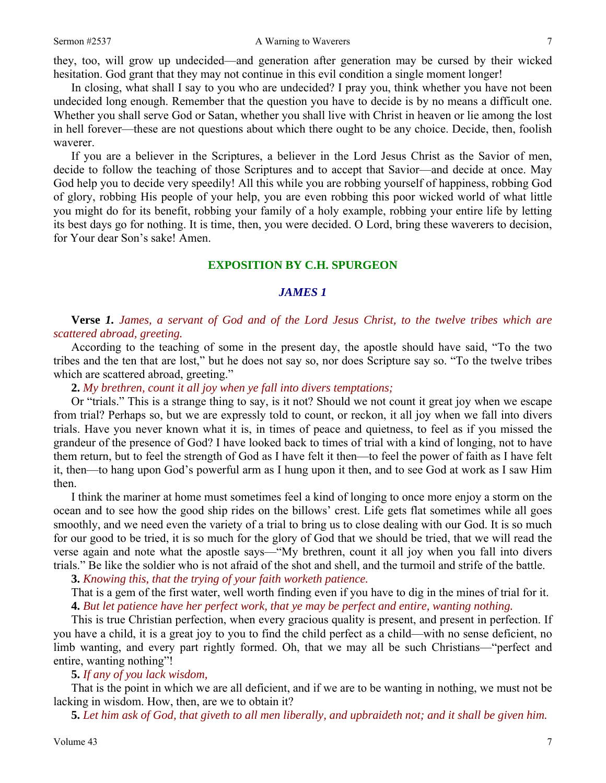#### Sermon #2537 **A Warning to Waverers** 7

they, too, will grow up undecided—and generation after generation may be cursed by their wicked hesitation. God grant that they may not continue in this evil condition a single moment longer!

In closing, what shall I say to you who are undecided? I pray you, think whether you have not been undecided long enough. Remember that the question you have to decide is by no means a difficult one. Whether you shall serve God or Satan, whether you shall live with Christ in heaven or lie among the lost in hell forever—these are not questions about which there ought to be any choice. Decide, then, foolish waverer.

If you are a believer in the Scriptures, a believer in the Lord Jesus Christ as the Savior of men, decide to follow the teaching of those Scriptures and to accept that Savior—and decide at once. May God help you to decide very speedily! All this while you are robbing yourself of happiness, robbing God of glory, robbing His people of your help, you are even robbing this poor wicked world of what little you might do for its benefit, robbing your family of a holy example, robbing your entire life by letting its best days go for nothing. It is time, then, you were decided. O Lord, bring these waverers to decision, for Your dear Son's sake! Amen.

#### **EXPOSITION BY C.H. SPURGEON**

#### *JAMES 1*

**Verse** *1. James, a servant of God and of the Lord Jesus Christ, to the twelve tribes which are scattered abroad, greeting.* 

According to the teaching of some in the present day, the apostle should have said, "To the two tribes and the ten that are lost," but he does not say so, nor does Scripture say so. "To the twelve tribes which are scattered abroad, greeting."

**2.** *My brethren, count it all joy when ye fall into divers temptations;* 

Or "trials." This is a strange thing to say, is it not? Should we not count it great joy when we escape from trial? Perhaps so, but we are expressly told to count, or reckon, it all joy when we fall into divers trials. Have you never known what it is, in times of peace and quietness, to feel as if you missed the grandeur of the presence of God? I have looked back to times of trial with a kind of longing, not to have them return, but to feel the strength of God as I have felt it then—to feel the power of faith as I have felt it, then—to hang upon God's powerful arm as I hung upon it then, and to see God at work as I saw Him then.

I think the mariner at home must sometimes feel a kind of longing to once more enjoy a storm on the ocean and to see how the good ship rides on the billows' crest. Life gets flat sometimes while all goes smoothly, and we need even the variety of a trial to bring us to close dealing with our God. It is so much for our good to be tried, it is so much for the glory of God that we should be tried, that we will read the verse again and note what the apostle says—"My brethren, count it all joy when you fall into divers trials." Be like the soldier who is not afraid of the shot and shell, and the turmoil and strife of the battle.

**3.** *Knowing this, that the trying of your faith worketh patience.* 

That is a gem of the first water, well worth finding even if you have to dig in the mines of trial for it. **4.** *But let patience have her perfect work, that ye may be perfect and entire, wanting nothing.* 

This is true Christian perfection, when every gracious quality is present, and present in perfection. If you have a child, it is a great joy to you to find the child perfect as a child—with no sense deficient, no limb wanting, and every part rightly formed. Oh, that we may all be such Christians—"perfect and entire, wanting nothing"!

**5.** *If any of you lack wisdom,* 

That is the point in which we are all deficient, and if we are to be wanting in nothing, we must not be lacking in wisdom. How, then, are we to obtain it?

**5.** *Let him ask of God, that giveth to all men liberally, and upbraideth not; and it shall be given him.*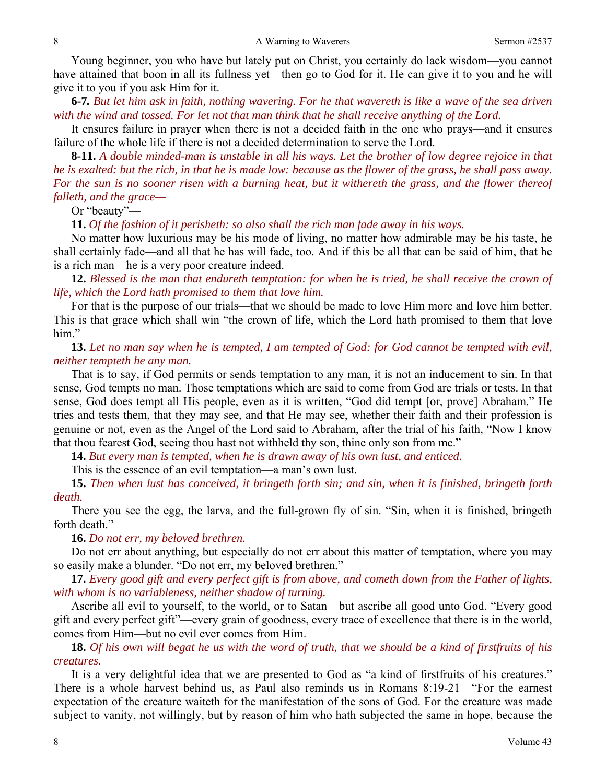Young beginner, you who have but lately put on Christ, you certainly do lack wisdom—you cannot have attained that boon in all its fullness yet—then go to God for it. He can give it to you and he will give it to you if you ask Him for it.

**6-7***. But let him ask in faith, nothing wavering. For he that wavereth is like a wave of the sea driven with the wind and tossed. For let not that man think that he shall receive anything of the Lord.* 

It ensures failure in prayer when there is not a decided faith in the one who prays—and it ensures failure of the whole life if there is not a decided determination to serve the Lord.

**8-11.** *A double minded-man is unstable in all his ways. Let the brother of low degree rejoice in that he is exalted: but the rich, in that he is made low: because as the flower of the grass, he shall pass away. For the sun is no sooner risen with a burning heat, but it withereth the grass, and the flower thereof falleth, and the grace—* 

Or "beauty"—

**11.** *Of the fashion of it perisheth: so also shall the rich man fade away in his ways.* 

No matter how luxurious may be his mode of living, no matter how admirable may be his taste, he shall certainly fade—and all that he has will fade, too. And if this be all that can be said of him, that he is a rich man—he is a very poor creature indeed.

**12.** *Blessed is the man that endureth temptation: for when he is tried, he shall receive the crown of life, which the Lord hath promised to them that love him.* 

For that is the purpose of our trials—that we should be made to love Him more and love him better. This is that grace which shall win "the crown of life, which the Lord hath promised to them that love him."

**13.** *Let no man say when he is tempted, I am tempted of God: for God cannot be tempted with evil, neither tempteth he any man.* 

That is to say, if God permits or sends temptation to any man, it is not an inducement to sin. In that sense, God tempts no man. Those temptations which are said to come from God are trials or tests. In that sense, God does tempt all His people, even as it is written, "God did tempt [or, prove] Abraham." He tries and tests them, that they may see, and that He may see, whether their faith and their profession is genuine or not, even as the Angel of the Lord said to Abraham, after the trial of his faith, "Now I know that thou fearest God, seeing thou hast not withheld thy son, thine only son from me."

**14.** *But every man is tempted, when he is drawn away of his own lust, and enticed.* 

This is the essence of an evil temptation—a man's own lust.

**15.** *Then when lust has conceived, it bringeth forth sin; and sin, when it is finished, bringeth forth death.* 

There you see the egg, the larva, and the full-grown fly of sin. "Sin, when it is finished, bringeth forth death."

**16.** *Do not err, my beloved brethren.* 

Do not err about anything, but especially do not err about this matter of temptation, where you may so easily make a blunder. "Do not err, my beloved brethren."

**17.** *Every good gift and every perfect gift is from above, and cometh down from the Father of lights, with whom is no variableness, neither shadow of turning.* 

Ascribe all evil to yourself, to the world, or to Satan—but ascribe all good unto God. "Every good gift and every perfect gift"—every grain of goodness, every trace of excellence that there is in the world, comes from Him—but no evil ever comes from Him.

**18.** *Of his own will begat he us with the word of truth, that we should be a kind of firstfruits of his creatures.* 

It is a very delightful idea that we are presented to God as "a kind of firstfruits of his creatures." There is a whole harvest behind us, as Paul also reminds us in Romans 8:19-21—"For the earnest expectation of the creature waiteth for the manifestation of the sons of God. For the creature was made subject to vanity, not willingly, but by reason of him who hath subjected the same in hope, because the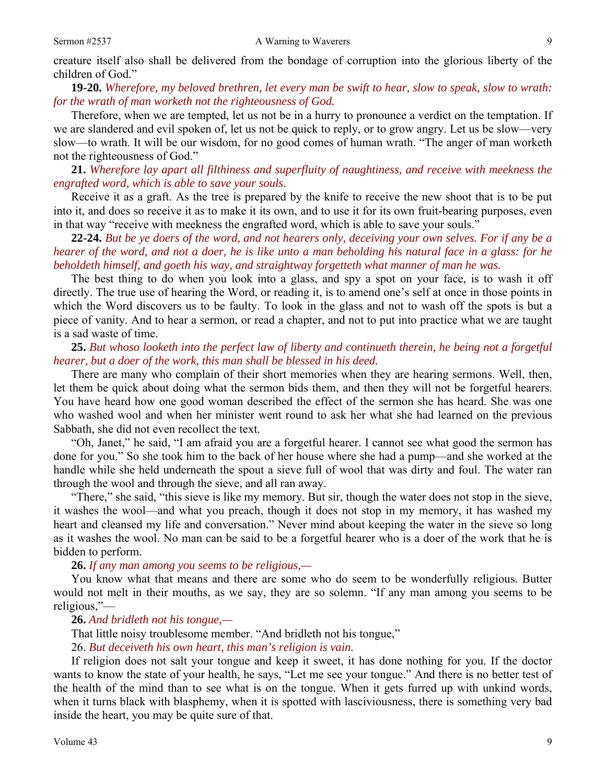creature itself also shall be delivered from the bondage of corruption into the glorious liberty of the children of God."

**19-20.** *Wherefore, my beloved brethren, let every man be swift to hear, slow to speak, slow to wrath: for the wrath of man worketh not the righteousness of God.* 

Therefore, when we are tempted, let us not be in a hurry to pronounce a verdict on the temptation. If we are slandered and evil spoken of, let us not be quick to reply, or to grow angry. Let us be slow—very slow—to wrath. It will be our wisdom, for no good comes of human wrath. "The anger of man worketh not the righteousness of God."

**21.** *Wherefore lay apart all filthiness and superfluity of naughtiness, and receive with meekness the engrafted word, which is able to save your souls.* 

Receive it as a graft. As the tree is prepared by the knife to receive the new shoot that is to be put into it, and does so receive it as to make it its own, and to use it for its own fruit-bearing purposes, even in that way "receive with meekness the engrafted word, which is able to save your souls."

**22-24.** *But be ye doers of the word, and not hearers only, deceiving your own selves. For if any be a hearer of the word, and not a doer, he is like unto a man beholding his natural face in a glass: for he beholdeth himself, and goeth his way, and straightway forgetteth what manner of man he was.* 

The best thing to do when you look into a glass, and spy a spot on your face, is to wash it off directly. The true use of hearing the Word, or reading it, is to amend one's self at once in those points in which the Word discovers us to be faulty. To look in the glass and not to wash off the spots is but a piece of vanity. And to hear a sermon, or read a chapter, and not to put into practice what we are taught is a sad waste of time.

**25.** *But whoso looketh into the perfect law of liberty and continueth therein, he being not a forgetful hearer, but a doer of the work, this man shall be blessed in his deed.* 

There are many who complain of their short memories when they are hearing sermons. Well, then, let them be quick about doing what the sermon bids them, and then they will not be forgetful hearers. You have heard how one good woman described the effect of the sermon she has heard. She was one who washed wool and when her minister went round to ask her what she had learned on the previous Sabbath, she did not even recollect the text.

"Oh, Janet," he said, "I am afraid you are a forgetful hearer. I cannot see what good the sermon has done for you." So she took him to the back of her house where she had a pump—and she worked at the handle while she held underneath the spout a sieve full of wool that was dirty and foul. The water ran through the wool and through the sieve, and all ran away.

"There," she said, "this sieve is like my memory. But sir, though the water does not stop in the sieve, it washes the wool—and what you preach, though it does not stop in my memory, it has washed my heart and cleansed my life and conversation." Never mind about keeping the water in the sieve so long as it washes the wool. No man can be said to be a forgetful hearer who is a doer of the work that he is bidden to perform.

### **26.** *If any man among you seems to be religious,—*

You know what that means and there are some who do seem to be wonderfully religious. Butter would not melt in their mouths, as we say, they are so solemn. "If any man among you seems to be religious,"—

#### **26.** *And bridleth not his tongue,—*

That little noisy troublesome member. "And bridleth not his tongue,"

26. *But deceiveth his own heart, this man's religion is vain.* 

If religion does not salt your tongue and keep it sweet, it has done nothing for you. If the doctor wants to know the state of your health, he says, "Let me see your tongue." And there is no better test of the health of the mind than to see what is on the tongue. When it gets furred up with unkind words, when it turns black with blasphemy, when it is spotted with lasciviousness, there is something very bad inside the heart, you may be quite sure of that.